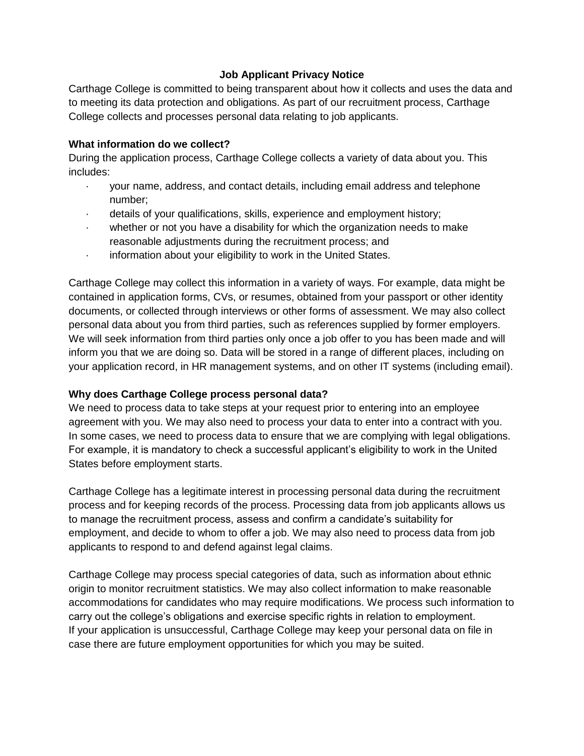# **Job Applicant Privacy Notice**

Carthage College is committed to being transparent about how it collects and uses the data and to meeting its data protection and obligations. As part of our recruitment process, Carthage College collects and processes personal data relating to job applicants.

# **What information do we collect?**

During the application process, Carthage College collects a variety of data about you. This includes:

- · your name, address, and contact details, including email address and telephone number;
- details of your qualifications, skills, experience and employment history;
- · whether or not you have a disability for which the organization needs to make reasonable adjustments during the recruitment process; and
- · information about your eligibility to work in the United States.

Carthage College may collect this information in a variety of ways. For example, data might be contained in application forms, CVs, or resumes, obtained from your passport or other identity documents, or collected through interviews or other forms of assessment. We may also collect personal data about you from third parties, such as references supplied by former employers. We will seek information from third parties only once a job offer to you has been made and will inform you that we are doing so. Data will be stored in a range of different places, including on your application record, in HR management systems, and on other IT systems (including email).

# **Why does Carthage College process personal data?**

We need to process data to take steps at your request prior to entering into an employee agreement with you. We may also need to process your data to enter into a contract with you. In some cases, we need to process data to ensure that we are complying with legal obligations. For example, it is mandatory to check a successful applicant's eligibility to work in the United States before employment starts.

Carthage College has a legitimate interest in processing personal data during the recruitment process and for keeping records of the process. Processing data from job applicants allows us to manage the recruitment process, assess and confirm a candidate's suitability for employment, and decide to whom to offer a job. We may also need to process data from job applicants to respond to and defend against legal claims.

Carthage College may process special categories of data, such as information about ethnic origin to monitor recruitment statistics. We may also collect information to make reasonable accommodations for candidates who may require modifications. We process such information to carry out the college's obligations and exercise specific rights in relation to employment. If your application is unsuccessful, Carthage College may keep your personal data on file in case there are future employment opportunities for which you may be suited.